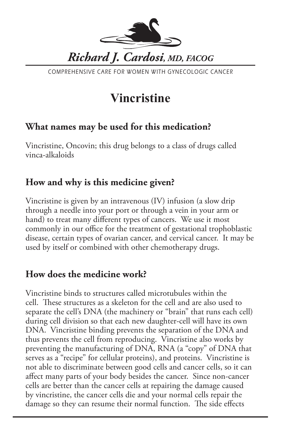

COMPREHENSIVE CARE FOR WOMEN WITH GYNECOLOGIC CANCER

# **Vincristine**

### **What names may be used for this medication?**

Vincristine, Oncovin; this drug belongs to a class of drugs called vinca-alkaloids

## **How and why is this medicine given?**

Vincristine is given by an intravenous (IV) infusion (a slow drip through a needle into your port or through a vein in your arm or hand) to treat many different types of cancers. We use it most commonly in our office for the treatment of gestational trophoblastic disease, certain types of ovarian cancer, and cervical cancer. It may be used by itself or combined with other chemotherapy drugs.

### **How does the medicine work?**

Vincristine binds to structures called microtubules within the cell. These structures as a skeleton for the cell and are also used to separate the cell's DNA (the machinery or "brain" that runs each cell) during cell division so that each new daughter-cell will have its own DNA. Vincristine binding prevents the separation of the DNA and thus prevents the cell from reproducing. Vincristine also works by preventing the manufacturing of DNA, RNA (a "copy" of DNA that serves as a "recipe" for cellular proteins), and proteins. Vincristine is not able to discriminate between good cells and cancer cells, so it can affect many parts of your body besides the cancer. Since non-cancer cells are better than the cancer cells at repairing the damage caused by vincristine, the cancer cells die and your normal cells repair the damage so they can resume their normal function. The side effects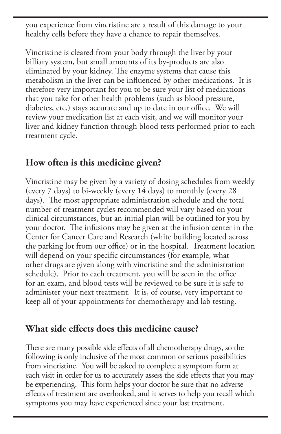you experience from vincristine are a result of this damage to your healthy cells before they have a chance to repair themselves.

Vincristine is cleared from your body through the liver by your billiary system, but small amounts of its by-products are also eliminated by your kidney. The enzyme systems that cause this metabolism in the liver can be influenced by other medications. It is therefore very important for you to be sure your list of medications that you take for other health problems (such as blood pressure, diabetes, etc.) stays accurate and up to date in our office. We will review your medication list at each visit, and we will monitor your liver and kidney function through blood tests performed prior to each treatment cycle.

#### **How often is this medicine given?**

Vincristine may be given by a variety of dosing schedules from weekly (every 7 days) to bi-weekly (every 14 days) to monthly (every 28 days). The most appropriate administration schedule and the total number of treatment cycles recommended will vary based on your clinical circumstances, but an initial plan will be outlined for you by your doctor. The infusions may be given at the infusion center in the Center for Cancer Care and Research (white building located across the parking lot from our office) or in the hospital. Treatment location will depend on your specific circumstances (for example, what other drugs are given along with vincristine and the administration schedule). Prior to each treatment, you will be seen in the office for an exam, and blood tests will be reviewed to be sure it is safe to administer your next treatment. It is, of course, very important to keep all of your appointments for chemotherapy and lab testing.

#### **What side effects does this medicine cause?**

There are many possible side effects of all chemotherapy drugs, so the following is only inclusive of the most common or serious possibilities from vincristine. You will be asked to complete a symptom form at each visit in order for us to accurately assess the side effects that you may be experiencing. This form helps your doctor be sure that no adverse effects of treatment are overlooked, and it serves to help you recall which symptoms you may have experienced since your last treatment.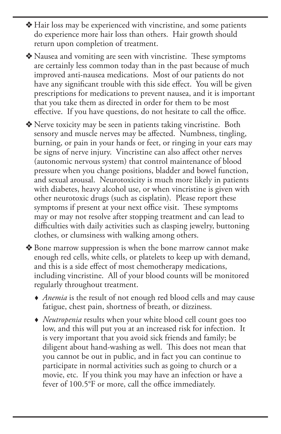- $\triangle$  Hair loss may be experienced with vincristine, and some patients do experience more hair loss than others. Hair growth should return upon completion of treatment.
- $\triangle$  Nausea and vomiting are seen with vincristine. These symptoms are certainly less common today than in the past because of much improved anti-nausea medications. Most of our patients do not have any significant trouble with this side effect. You will be given prescriptions for medications to prevent nausea, and it is important that you take them as directed in order for them to be most effective. If you have questions, do not hesitate to call the office.

v Nerve toxicity may be seen in patients taking vincristine. Both sensory and muscle nerves may be affected. Numbness, tingling, burning, or pain in your hands or feet, or ringing in your ears may be signs of nerve injury. Vincristine can also affect other nerves (autonomic nervous system) that control maintenance of blood pressure when you change positions, bladder and bowel function, and sexual arousal. Neurotoxicity is much more likely in patients with diabetes, heavy alcohol use, or when vincristine is given with other neurotoxic drugs (such as cisplatin). Please report these symptoms if present at your next office visit. These symptoms may or may not resolve after stopping treatment and can lead to difficulties with daily activities such as clasping jewelry, buttoning clothes, or clumsiness with walking among others.

◆ Bone marrow suppression is when the bone marrow cannot make enough red cells, white cells, or platelets to keep up with demand, and this is a side effect of most chemotherapy medications, including vincristine. All of your blood counts will be monitored regularly throughout treatment.

- *Anemia* is the result of not enough red blood cells and may cause fatigue, chest pain, shortness of breath, or dizziness.
- *Neutropenia* results when your white blood cell count goes too low, and this will put you at an increased risk for infection. It is very important that you avoid sick friends and family; be diligent about hand-washing as well. This does not mean that you cannot be out in public, and in fact you can continue to participate in normal activities such as going to church or a movie, etc. If you think you may have an infection or have a fever of 100.5°F or more, call the office immediately.